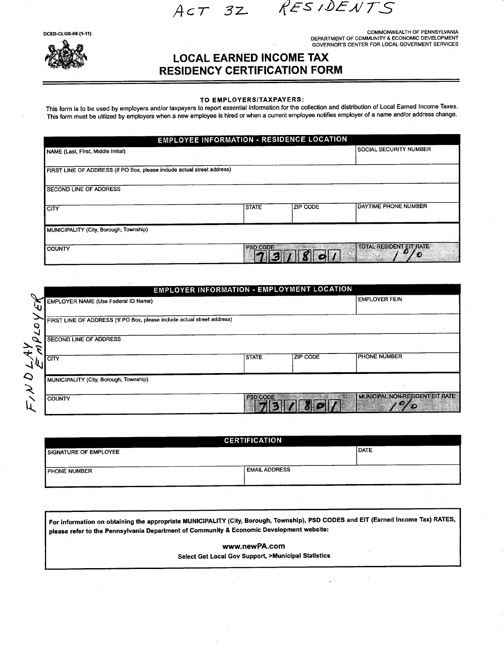ACT 3Z RESIDENTS

DCED-CLGS-06 (1-11)



COMMONWEALTH OF PENNSYLVANIA<br>DEPARTMENT OF COMMUNITY & ECONOMIC DEVELOPMENT<br>GOVERNOR'S CENTER FOR LOCAL GOVERMENT SERVICES

## **LOCAL EARNED INCOME TAX RESIDENCY CERTIFICATION FORM**

## TO EMPLOYERS/TAXPAYERS:

This form is to be used by employers and/or taxpayers to report essential information for the collection and distribution of Local Earned Income Taxes. This form must be utilized by employers when a new employee is hired or when a current employee notifies employer of a name and/or address change.

|                                                                         | <b>EMPLOYEE INFORMATION - RESIDENCE LOCATION</b> |                 |                               |
|-------------------------------------------------------------------------|--------------------------------------------------|-----------------|-------------------------------|
| NAME (Last, First, Middle Initial)                                      |                                                  |                 | <b>SOCIAL SECURITY NUMBER</b> |
|                                                                         |                                                  |                 |                               |
| FIRST LINE OF ADDRESS (If PO Box, please include actual street address) |                                                  |                 |                               |
| SECOND LINE OF ADDRESS                                                  |                                                  |                 |                               |
| <b>CITY</b>                                                             | <b>STATE</b>                                     | <b>ZIP CODE</b> | <b>DAYTIME PHONE NUMBER</b>   |
| MUNICIPALITY (City, Borough, Township)                                  |                                                  |                 |                               |
| <b>COUNTY</b>                                                           | PSD CODE                                         |                 | TOTAL RESIDENT EIT RATE<br>Đ  |

|                   |                                                                          | <b>EMPLOYER INFORMATION - EMPLOYMENT LOCATION</b> |                 |                                        |
|-------------------|--------------------------------------------------------------------------|---------------------------------------------------|-----------------|----------------------------------------|
|                   | EMPLOYER NAME (Use Federal ID Name)                                      |                                                   |                 | <b>EMPLOYER FEIN</b>                   |
| O                 | FIRST LINE OF ADDRESS ('If PO Box, please include actual street address) |                                                   |                 |                                        |
| ↘<br>ىلى          | SECOND LINE OF ADDRESS                                                   |                                                   |                 |                                        |
|                   | <b>CITY</b>                                                              | <b>STATE</b>                                      | <b>ZIP CODE</b> | <b>PHONE NUMBER</b>                    |
| $\mathbf{\Omega}$ | MUNICIPALITY (City, Borough, Township)                                   |                                                   |                 |                                        |
|                   | <b>COUNTY</b>                                                            | PSD CODE                                          |                 | MUNICIPAL NON-RESIDENT EIT RATE<br>MO. |

|                              | CERTIFICATION        |             |
|------------------------------|----------------------|-------------|
| <b>SIGNATURE OF EMPLOYEE</b> |                      | <b>DATE</b> |
| <b>PHONE NUMBER</b>          | <b>EMAIL ADDRESS</b> |             |
|                              |                      |             |

For information on obtaining the appropriate MUNICIPALITY (City, Borough, Township), PSD CODES and EIT (Earned Income Tax) RATES, please refer to the Pennsylvania Department of Community & Economic Development website:

> www.newPA.com Select Get Local Gov Support, >Municipal Statistics